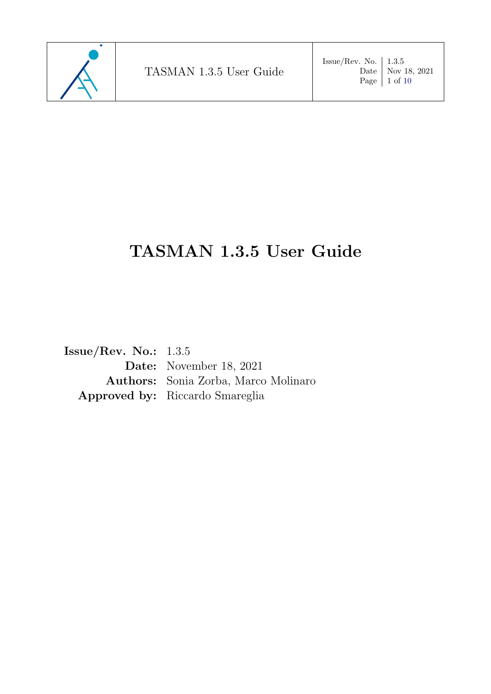

Date | Nov 18, 2021

# TASMAN 1.3.5 User Guide

Issue/Rev. No.: 1.3.5 Date: November 18, 2021 Authors: Sonia Zorba, Marco Molinaro Approved by: Riccardo Smareglia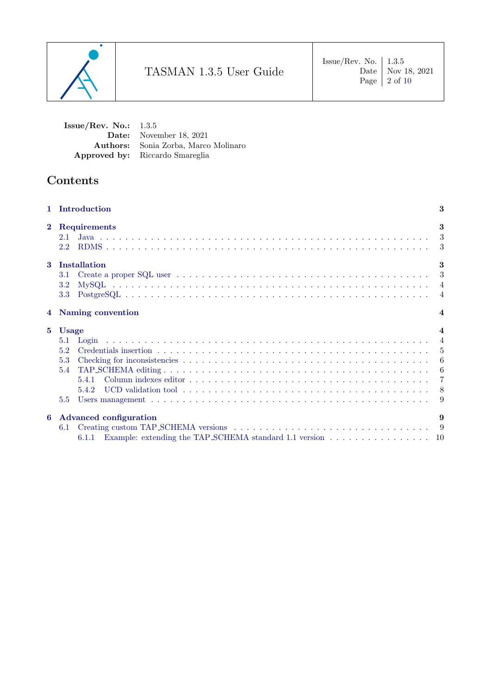

Date | Nov 18, 2021

Issue/Rev. No.: 1.3.5 Date: November 18, 2021 Authors: Sonia Zorba, Marco Molinaro Approved by: Riccardo Smareglia

# Contents

|                | 1 Introduction                                                                                          | 3                       |
|----------------|---------------------------------------------------------------------------------------------------------|-------------------------|
| $\mathbf{2}$   | Requirements<br>2.1<br>$2.2^{\circ}$                                                                    | 3                       |
| $\mathbf{3}$   | Installation<br>3.1<br>3.2<br>3.3                                                                       | 3                       |
| $\overline{4}$ | Naming convention                                                                                       | $\overline{\mathbf{4}}$ |
| $5^{\circ}$    | <b>Usage</b><br>5.2<br>5.3<br>5.4<br>5.4.2<br>5.5                                                       | $\overline{\mathbf{4}}$ |
| 6              | <b>Advanced configuration</b><br>6.1<br>6.1.1 Example: extending the TAP_SCHEMA standard 1.1 version 10 | 9                       |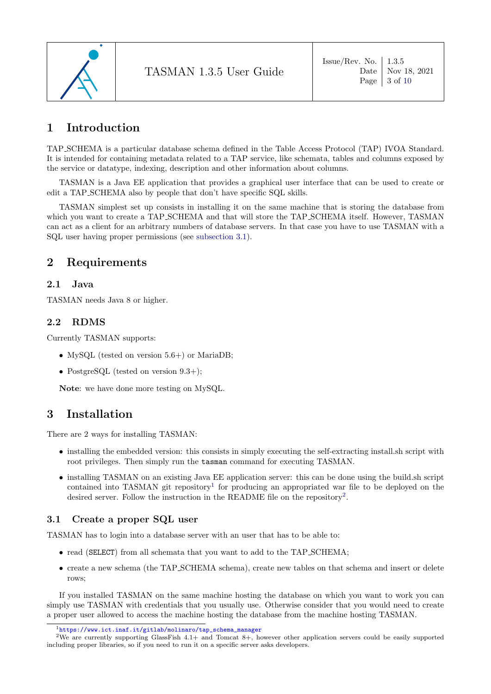

# <span id="page-2-0"></span>1 Introduction

TAP SCHEMA is a particular database schema defined in the Table Access Protocol (TAP) IVOA Standard. It is intended for containing metadata related to a TAP service, like schemata, tables and columns exposed by the service or datatype, indexing, description and other information about columns.

TASMAN is a Java EE application that provides a graphical user interface that can be used to create or edit a TAP SCHEMA also by people that don't have specific SQL skills.

TASMAN simplest set up consists in installing it on the same machine that is storing the database from which you want to create a TAP\_SCHEMA and that will store the TAP\_SCHEMA itself. However, TASMAN can act as a client for an arbitrary numbers of database servers. In that case you have to use TASMAN with a SQL user having proper permissions (see [subsection 3.1\)](#page-2-5).

# <span id="page-2-1"></span>2 Requirements

### <span id="page-2-2"></span>2.1 Java

<span id="page-2-3"></span>TASMAN needs Java 8 or higher.

# 2.2 RDMS

Currently TASMAN supports:

- MySQL (tested on version 5.6+) or MariaDB;
- PostgreSQL (tested on version  $9.3+)$ ;

<span id="page-2-4"></span>Note: we have done more testing on MySQL.

# 3 Installation

There are 2 ways for installing TASMAN:

- installing the embedded version: this consists in simply executing the self-extracting install.sh script with root privileges. Then simply run the tasman command for executing TASMAN.
- installing TASMAN on an existing Java EE application server: this can be done using the build.sh script contained into TASMAN git repository<sup>[1](#page-2-7)</sup> for producing an appropriated war file to be deployed on the desired server. Follow the instruction in the README file on the repository<sup>[2](#page-2-8)</sup>.

### <span id="page-2-5"></span>3.1 Create a proper SQL user

TASMAN has to login into a database server with an user that has to be able to:

- read (SELECT) from all schemata that you want to add to the TAP\_SCHEMA;
- create a new schema (the TAP SCHEMA schema), create new tables on that schema and insert or delete rows;

If you installed TASMAN on the same machine hosting the database on which you want to work you can simply use TASMAN with credentials that you usually use. Otherwise consider that you would need to create a proper user allowed to access the machine hosting the database from the machine hosting TASMAN.

<span id="page-2-8"></span><span id="page-2-7"></span><span id="page-2-6"></span><sup>1</sup>[https://www.ict.inaf.it/gitlab/molinaro/tap\\_schema\\_manager](https://www.ict.inaf.it/gitlab/molinaro/tap_schema_manager)

<sup>&</sup>lt;sup>2</sup>We are currently supporting GlassFish 4.1+ and Tomcat 8+, however other application servers could be easily supported including proper libraries, so if you need to run it on a specific server asks developers.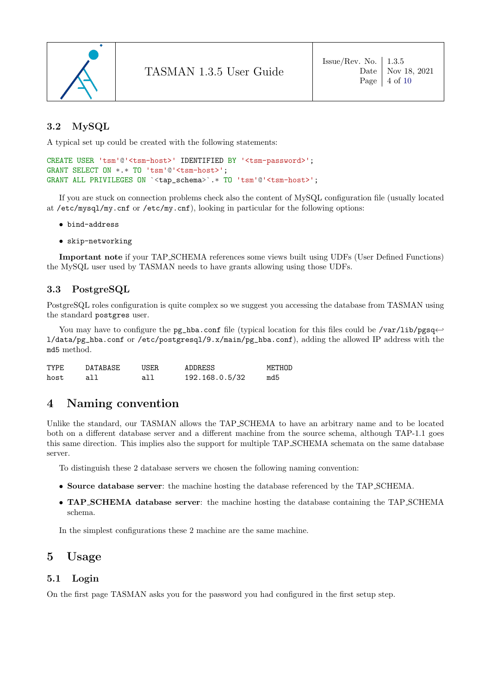

### 3.2 MySQL

A typical set up could be created with the following statements:

```
CREATE USER 'tsm'@'<tsm-host>' IDENTIFIED BY '<tsm-password>';
GRANT SELECT ON *.* TO 'tsm'@'<tsm-host>';
GRANT ALL PRIVILEGES ON `<tap_schema>`.* TO 'tsm'@'<tsm-host>';
```
If you are stuck on connection problems check also the content of MySQL configuration file (usually located at /etc/mysql/my.cnf or /etc/my.cnf), looking in particular for the following options:

- bind-address
- skip-networking

Important note if your TAP SCHEMA references some views built using UDFs (User Defined Functions) the MySQL user used by TASMAN needs to have grants allowing using those UDFs.

#### <span id="page-3-0"></span>3.3 PostgreSQL

PostgreSQL roles configuration is quite complex so we suggest you accessing the database from TASMAN using the standard postgres user.

You may have to configure the pg\_hba.conf file (typical location for this files could be /var/lib/pgsq← l/data/pg\_hba.conf or /etc/postgresql/9.x/main/pg\_hba.conf), adding the allowed IP address with the md5 method.

| TYPF. | DATABASE | USER. | ADDRESS        | METHOD |
|-------|----------|-------|----------------|--------|
| host  | all      | all   | 192.168.0.5/32 | md5    |

# <span id="page-3-1"></span>4 Naming convention

Unlike the standard, our TASMAN allows the TAP SCHEMA to have an arbitrary name and to be located both on a different database server and a different machine from the source schema, although TAP-1.1 goes this same direction. This implies also the support for multiple TAP SCHEMA schemata on the same database server.

To distinguish these 2 database servers we chosen the following naming convention:

- Source database server: the machine hosting the database referenced by the TAP SCHEMA.
- TAP\_SCHEMA database server: the machine hosting the database containing the TAP\_SCHEMA schema.

<span id="page-3-2"></span>In the simplest configurations these 2 machine are the same machine.

# 5 Usage

#### <span id="page-3-3"></span>5.1 Login

<span id="page-3-4"></span>On the first page TASMAN asks you for the password you had configured in the first setup step.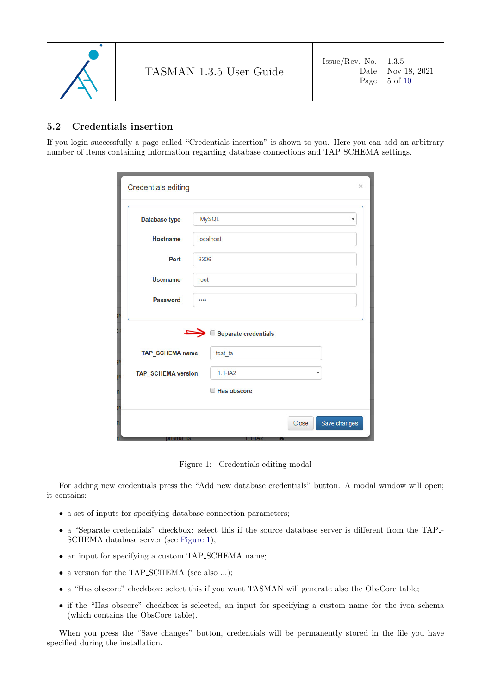

### 5.2 Credentials insertion

If you login successfully a page called "Credentials insertion" is shown to you. Here you can add an arbitrary number of items containing information regarding database connections and TAP SCHEMA settings.

| <b>Credentials editing</b>                                         | ×                                                                                                  |
|--------------------------------------------------------------------|----------------------------------------------------------------------------------------------------|
| <b>Database type</b>                                               | <b>MySQL</b><br>$\boldsymbol{\mathrm{v}}$                                                          |
| <b>Hostname</b>                                                    | localhost                                                                                          |
| Port                                                               | 3306                                                                                               |
| <b>Username</b>                                                    | root                                                                                               |
| <b>Password</b>                                                    |                                                                                                    |
| yr<br>TAP_SCHEMA name<br>ĵη<br>TAP_SCHEMA version<br>yn<br>n<br>yn | Separate credentials<br>test ts<br>$1.1 - IAA2$<br>$\boldsymbol{\mathrm{v}}$<br><b>Has obscore</b> |
| n<br>n                                                             | Save changes<br>Close                                                                              |

Figure 1: Credentials editing modal

<span id="page-4-0"></span>For adding new credentials press the "Add new database credentials" button. A modal window will open; it contains:

- a set of inputs for specifying database connection parameters;
- a "Separate credentials" checkbox: select this if the source database server is different from the TAP SCHEMA database server (see [Figure 1\)](#page-4-0);
- an input for specifying a custom TAP\_SCHEMA name;
- a version for the TAP\_SCHEMA (see also ...);
- a "Has obscore" checkbox: select this if you want TASMAN will generate also the ObsCore table;
- if the "Has obscore" checkbox is selected, an input for specifying a custom name for the ivoa schema (which contains the ObsCore table).

When you press the "Save changes" button, credentials will be permanently stored in the file you have specified during the installation.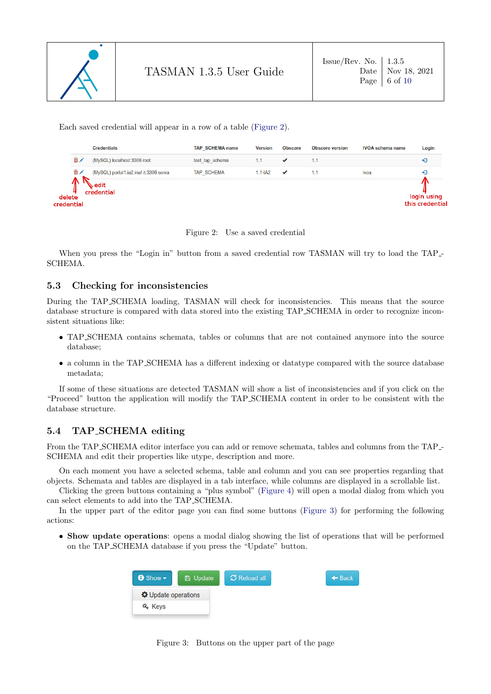

<span id="page-5-2"></span> $\epsilon$ 

Each saved credential will appear in a row of a table [\(Figure 2\)](#page-5-2).

|                     | <b>Credentials</b>                     | <b>TAP SCHEMA name</b> | <b>Version</b> | <b>Obscore</b> | <b>Obscore version</b> | <b>IVOA</b> schema name<br>ivoa | Login                          |
|---------------------|----------------------------------------|------------------------|----------------|----------------|------------------------|---------------------------------|--------------------------------|
| 侖╱                  | (MySQL) localhost:3306 root            | test tap schema        | 1.1            |                | 1.1                    |                                 | ю                              |
| 侖╱                  | (MySQL) portal1.ia2.inaf.it:3306 sonia | <b>TAP SCHEMA</b>      | $1.1 - IA2$    | ✔              | 1.1                    |                                 | ٠D                             |
| delete<br>redential | edit<br>credential                     |                        |                |                |                        |                                 | login using<br>this credential |

Figure 2: Use a saved credential

When you press the "Login in" button from a saved credential row TASMAN will try to load the TAP SCHEMA.

#### <span id="page-5-0"></span>5.3 Checking for inconsistencies

During the TAP SCHEMA loading, TASMAN will check for inconsistencies. This means that the source database structure is compared with data stored into the existing TAP SCHEMA in order to recognize inconsistent situations like:

- TAP SCHEMA contains schemata, tables or columns that are not contained anymore into the source database;
- a column in the TAP SCHEMA has a different indexing or datatype compared with the source database metadata;

If some of these situations are detected TASMAN will show a list of inconsistencies and if you click on the "Proceed" button the application will modify the TAP SCHEMA content in order to be consistent with the database structure.

# <span id="page-5-1"></span>5.4 TAP SCHEMA editing

From the TAP SCHEMA editor interface you can add or remove schemata, tables and columns from the TAP - SCHEMA and edit their properties like utype, description and more.

On each moment you have a selected schema, table and column and you can see properties regarding that objects. Schemata and tables are displayed in a tab interface, while columns are displayed in a scrollable list.

Clicking the green buttons containing a "plus symbol" [\(Figure 4\)](#page-6-2) will open a modal dialog from which you can select elements to add into the TAP SCHEMA.

In the upper part of the editor page you can find some buttons [\(Figure 3\)](#page-5-3) for performing the following actions:

• Show update operations: opens a modal dialog showing the list of operations that will be performed on the TAP SCHEMA database if you press the "Update" button.

<span id="page-5-3"></span>

Figure 3: Buttons on the upper part of the page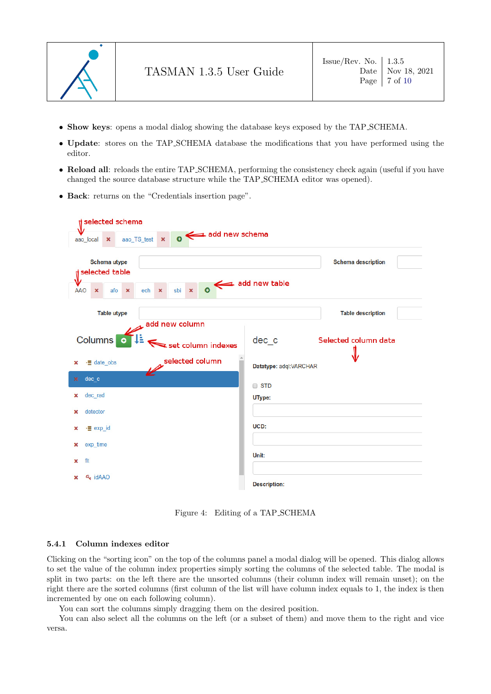

- Show keys: opens a modal dialog showing the database keys exposed by the TAP SCHEMA.
- Update: stores on the TAP SCHEMA database the modifications that you have performed using the editor.
- Reload all: reloads the entire TAP\_SCHEMA, performing the consistency check again (useful if you have changed the source database structure while the TAP SCHEMA editor was opened).
- Back: returns on the "Credentials insertion page".

| selected schema                                                                 | $\overline{\phantom{a}}$ add new schema                                 |                        |                           |
|---------------------------------------------------------------------------------|-------------------------------------------------------------------------|------------------------|---------------------------|
| aao local<br>$\boldsymbol{\mathsf{x}}$<br><b>Schema utype</b><br>selected table | aao TS test                                                             |                        | <b>Schema description</b> |
| <b>AAO</b><br>$\pmb{\times}$<br>afo<br>$\boldsymbol{\mathsf{x}}$                | $\bullet$ add new table<br>sbi<br>$\mathbf{x}$<br>ech<br>$\pmb{\times}$ |                        |                           |
| <b>Table utype</b>                                                              |                                                                         |                        | <b>Table description</b>  |
| U.<br><b>Columns</b><br>$\bullet$                                               | add new column<br>set column indexes                                    | dec_c                  | Selected column data      |
| ·E date obs<br>×                                                                | selected column                                                         | Datatype: adql:VARCHAR |                           |
| dec c<br>×                                                                      |                                                                         | <b>STD</b>             |                           |
| dec rad<br>×                                                                    |                                                                         | UType:                 |                           |
| detector<br>×                                                                   |                                                                         |                        |                           |
| $\frac{1}{2}$ exp id<br>×                                                       |                                                                         | UCD:                   |                           |
| exp time<br>×                                                                   |                                                                         |                        |                           |
| flt<br>×                                                                        |                                                                         | Unit:                  |                           |
| a <sub>s</sub> idAAO<br>×                                                       |                                                                         | <b>Description:</b>    |                           |

Figure 4: Editing of a TAP SCHEMA

#### <span id="page-6-2"></span><span id="page-6-0"></span>5.4.1 Column indexes editor

Clicking on the "sorting icon" on the top of the columns panel a modal dialog will be opened. This dialog allows to set the value of the column index properties simply sorting the columns of the selected table. The modal is split in two parts: on the left there are the unsorted columns (their column index will remain unset); on the right there are the sorted columns (first column of the list will have column index equals to 1, the index is then incremented by one on each following column).

You can sort the columns simply dragging them on the desired position.

<span id="page-6-1"></span>You can also select all the columns on the left (or a subset of them) and move them to the right and vice versa.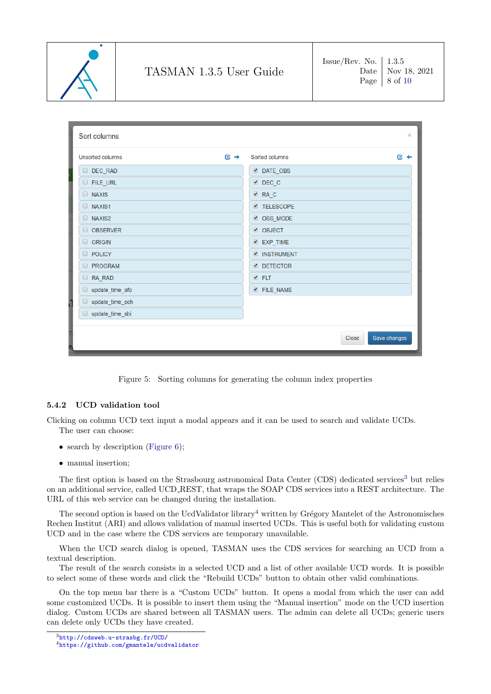

Sort columns **Unsorted columns**  $\approx$   $\rightarrow$ Sorted columns  $\approx$   $\approx$ DEC RAD DATE OBS **E** FILE\_URL DEC C **NAXIS** ØRA C **NAXIS1 TELESCOPE** NAXIS2 OBS MODE O OBSERVER **Ø** OBJECT **EXP TIME O ORIGIN POLICY Ø INSTRUMENT PROGRAM DETECTOR** RA RAD **ØFLT**  $\Box$  update time afo **E** FILE NAME go update\_time\_ech update\_time\_sbi Save changes Close

Figure 5: Sorting columns for generating the column index properties

#### 5.4.2 UCD validation tool

Clicking on column UCD text input a modal appears and it can be used to search and validate UCDs. The user can choose:

- search by description [\(Figure 6\)](#page-8-2);
- manual insertion;

The first option is based on the Strasbourg astronomical Data Center (CDS) dedicated services<sup>[3](#page-7-1)</sup> but relies on an additional service, called UCD REST, that wraps the SOAP CDS services into a REST architecture. The URL of this web service can be changed during the installation.

The second option is based on the UcdValidator library<sup>[4](#page-7-2)</sup> written by Grégory Mantelet of the Astronomisches Rechen Institut (ARI) and allows validation of manual inserted UCDs. This is useful both for validating custom UCD and in the case where the CDS services are temporary unavailable.

When the UCD search dialog is opened, TASMAN uses the CDS services for searching an UCD from a textual description.

The result of the search consists in a selected UCD and a list of other available UCD words. It is possible to select some of these words and click the "Rebuild UCDs" button to obtain other valid combinations.

On the top menu bar there is a "Custom UCDs" button. It opens a modal from which the user can add some customized UCDs. It is possible to insert them using the "Manual insertion" mode on the UCD insertion dialog. Custom UCDs are shared between all TASMAN users. The admin can delete all UCDs; generic users can delete only UCDs they have created.

<span id="page-7-1"></span><span id="page-7-0"></span><sup>3</sup><http://cdsweb.u-strasbg.fr/UCD/>

<span id="page-7-2"></span><sup>4</sup><https://github.com/gmantele/ucdvalidator>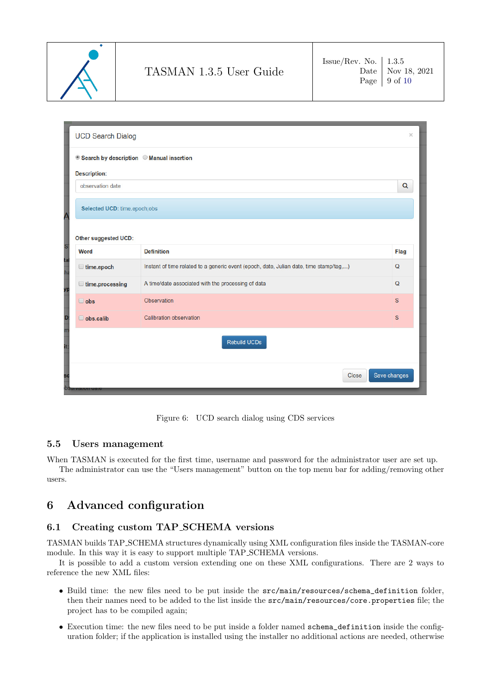

| <b>UCD Search Dialog</b>     |                                                                                        | $\times$     |  |  |  |
|------------------------------|----------------------------------------------------------------------------------------|--------------|--|--|--|
|                              | ● Search by description ● Manual insertion                                             |              |  |  |  |
| <b>Description:</b>          |                                                                                        |              |  |  |  |
| observation date             |                                                                                        | $\alpha$     |  |  |  |
| Selected UCD: time.epoch;obs |                                                                                        |              |  |  |  |
| Other suggested UCD:         |                                                                                        |              |  |  |  |
| Word                         | <b>Definition</b>                                                                      |              |  |  |  |
| $\Box$ time.epoch            | Instant of time related to a generic event (epoch, date, Julian date, time stamp/tag,) |              |  |  |  |
| $\Box$ time.processing       | A time/date associated with the processing of data                                     | $\Omega$     |  |  |  |
| $\Box$ obs                   | <b>Observation</b>                                                                     | S            |  |  |  |
| $\Box$ obs.calib             | <b>Calibration observation</b>                                                         | $\mathbf{s}$ |  |  |  |
|                              | Rebuild UCDs                                                                           |              |  |  |  |
|                              | Close                                                                                  | Save changes |  |  |  |

Figure 6: UCD search dialog using CDS services

### <span id="page-8-2"></span>5.5 Users management

When TASMAN is executed for the first time, username and password for the administrator user are set up. The administrator can use the "Users management" button on the top menu bar for adding/removing other users.

# <span id="page-8-0"></span>6 Advanced configuration

# <span id="page-8-1"></span>6.1 Creating custom TAP SCHEMA versions

TASMAN builds TAP SCHEMA structures dynamically using XML configuration files inside the TASMAN-core module. In this way it is easy to support multiple TAP SCHEMA versions.

It is possible to add a custom version extending one on these XML configurations. There are 2 ways to reference the new XML files:

- Build time: the new files need to be put inside the src/main/resources/schema\_definition folder, then their names need to be added to the list inside the src/main/resources/core.properties file; the project has to be compiled again;
- Execution time: the new files need to be put inside a folder named schema\_definition inside the configuration folder; if the application is installed using the installer no additional actions are needed, otherwise